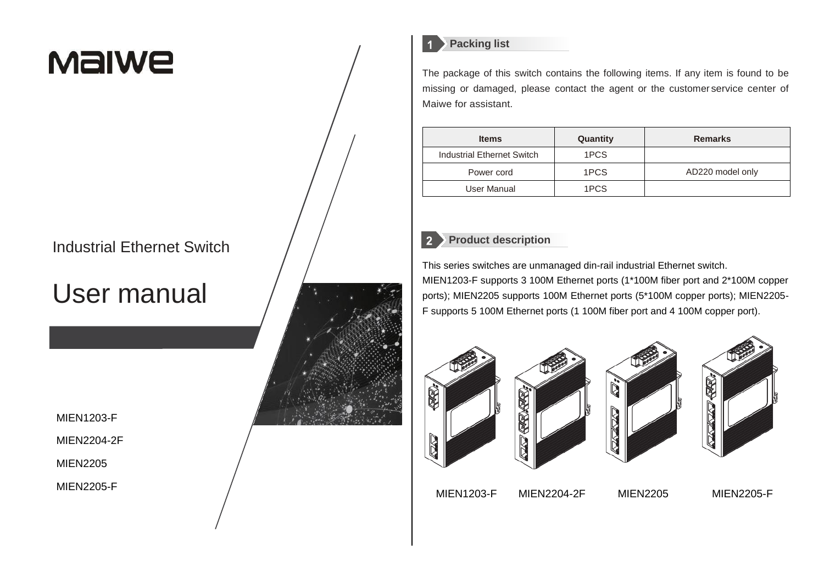# **Malwe**

## Industrial Ethernet Switch

## User manual

MIEN1203-F

MIEN2204-2F

MIEN2205

MIEN2205-F



## **Packing list**

The package of this switch contains the following items. If any item is found to be missing or damaged, please contact the agent or the customer service center of

| <b>Items</b>               | Quantity | <b>Remarks</b>   |
|----------------------------|----------|------------------|
| Industrial Ethernet Switch | 1PCS     |                  |
| Power cord                 | 1PCS     | AD220 model only |
| User Manual                | 1PCS     |                  |

## **Product description**

This series switches are unmanaged din-rail industrial Ethernet switch. MIEN1203-F supports 3 100M Ethernet ports (1\*100M fiber port and 2\*100M copper ports); MIEN2205 supports 100M Ethernet ports (5\*100M copper ports); MIEN2205- F supports 5 100M Ethernet ports (1 100M fiber port and 4 100M copper port).









MIEN1203-F MIEN2204-2F MIEN2205 MIEN2205-F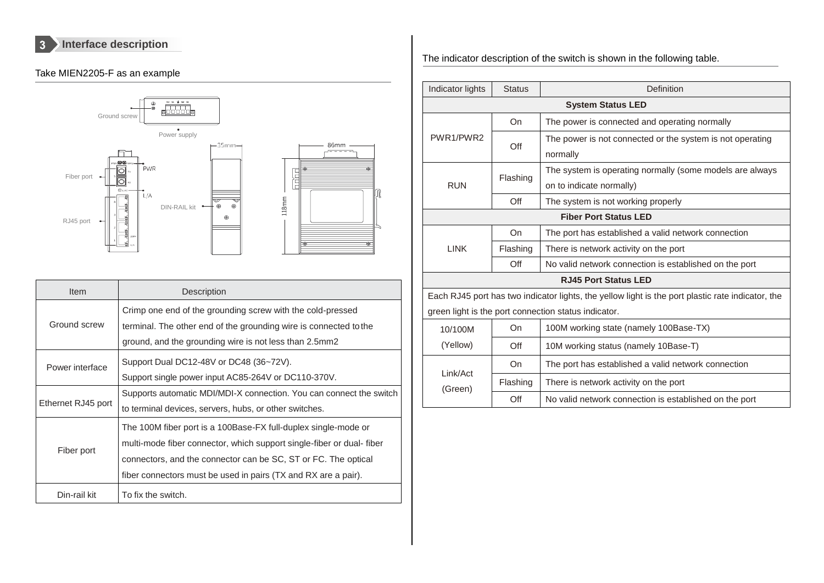$\vert 3 \vert$ **Interface description**

## Take MIEN2205-F as an example



| Item               | Description                                                                                                                                                                                                                                                                |  |
|--------------------|----------------------------------------------------------------------------------------------------------------------------------------------------------------------------------------------------------------------------------------------------------------------------|--|
| Ground screw       | Crimp one end of the grounding screw with the cold-pressed<br>terminal. The other end of the grounding wire is connected to the<br>ground, and the grounding wire is not less than 2.5mm2                                                                                  |  |
| Power interface    | Support Dual DC12-48V or DC48 (36~72V).<br>Support single power input AC85-264V or DC110-370V.                                                                                                                                                                             |  |
| Ethernet RJ45 port | Supports automatic MDI/MDI-X connection. You can connect the switch<br>to terminal devices, servers, hubs, or other switches.                                                                                                                                              |  |
| Fiber port         | The 100M fiber port is a 100Base-FX full-duplex single-mode or<br>multi-mode fiber connector, which support single-fiber or dual-fiber<br>connectors, and the connector can be SC, ST or FC. The optical<br>fiber connectors must be used in pairs (TX and RX are a pair). |  |
| Din-rail kit       | To fix the switch.                                                                                                                                                                                                                                                         |  |

The indicator description of the switch is shown in the following table.

| Indicator lights             | <b>Status</b> | Definition                                                                                        |  |
|------------------------------|---------------|---------------------------------------------------------------------------------------------------|--|
| <b>System Status LED</b>     |               |                                                                                                   |  |
|                              | On            | The power is connected and operating normally                                                     |  |
| PWR1/PWR2                    | Off           | The power is not connected or the system is not operating                                         |  |
|                              |               | normally                                                                                          |  |
|                              | Flashing      | The system is operating normally (some models are always                                          |  |
| <b>RUN</b>                   |               | on to indicate normally)                                                                          |  |
|                              | Off           | The system is not working properly                                                                |  |
| <b>Fiber Port Status LED</b> |               |                                                                                                   |  |
| <b>LINK</b>                  | On            | The port has established a valid network connection                                               |  |
|                              | Flashing      | There is network activity on the port                                                             |  |
|                              | Off           | No valid network connection is established on the port                                            |  |
|                              |               | <b>RJ45 Port Status LED</b>                                                                       |  |
|                              |               | Each RJ45 port has two indicator lights, the yellow light is the port plastic rate indicator, the |  |
|                              |               | green light is the port connection status indicator.                                              |  |
| 10/100M                      | On            | 100M working state (namely 100Base-TX)                                                            |  |
| (Yellow)                     | Off           | 10M working status (namely 10Base-T)                                                              |  |
| Link/Act<br>(Green)          | On            | The port has established a valid network connection                                               |  |
|                              | Flashing      | There is network activity on the port                                                             |  |
|                              | $\Omega$ ff   | No valid network connection is established on the port                                            |  |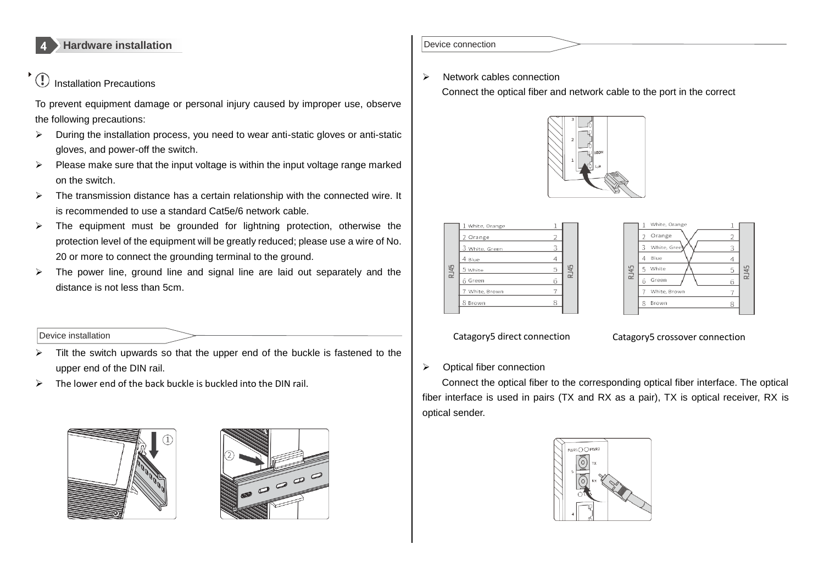

#### $\circledR$ Installation Precautions

 $\blacktriangleright$ 

To prevent equipment damage or personal injury caused by improper use, observe the following precautions:

- $\triangleright$  During the installation process, you need to wear anti-static gloves or anti-static gloves, and power-off the switch.
- $\triangleright$  Please make sure that the input voltage is within the input voltage range marked on the switch.
- $\triangleright$  The transmission distance has a certain relationship with the connected wire. It is recommended to use a standard Cat5e/6 network cable.
- $\triangleright$  The equipment must be grounded for lightning protection, otherwise the protection level of the equipment will be greatly reduced; please use a wire of No. 20 or more to connect the grounding terminal to the ground.
- $\triangleright$  The power line, ground line and signal line are laid out separately and the distance is not less than 5cm.

#### Device installation

- $\triangleright$  Tilt the switch upwards so that the upper end of the buckle is fastened to the upper end of the DIN rail.
- $\triangleright$  The lower end of the back buckle is buckled into the DIN rail.





#### Device connection

 $\triangleright$  Network cables connection

Connect the optical fiber and network cable to the port in the correct







Catagory5 direct connection Catagory5 crossover connection

#### Optical fiber connection

Connect the optical fiber to the corresponding optical fiber interface. The optical fiber interface is used in pairs (TX and RX as a pair), TX is optical receiver, RX is optical sender.

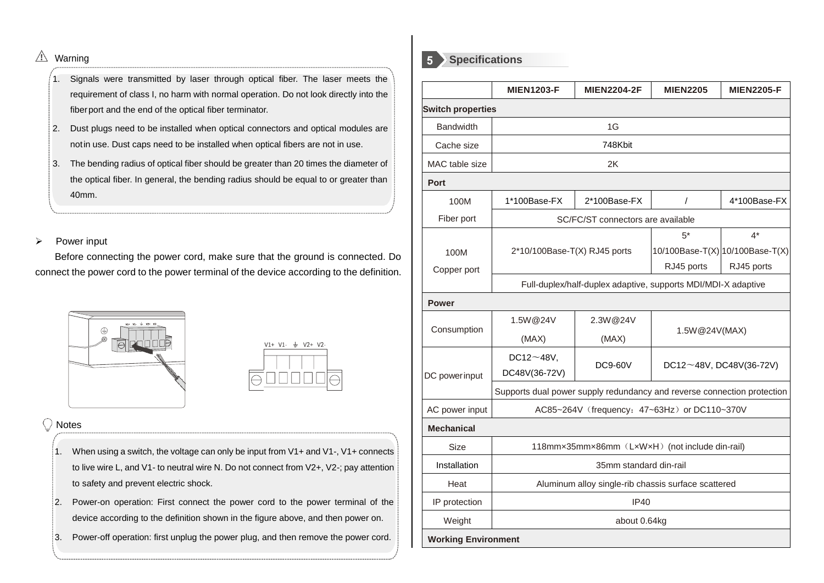## $\triangle$  Warning

- 1. Signals were transmitted by laser through optical fiber. The laser meets the requirement of class I, no harm with normal operation. Do not look directly into the fiberport and the end of the optical fiber terminator.
- 2. Dust plugs need to be installed when optical connectors and optical modules are notin use. Dust caps need to be installed when optical fibers are not in use.
- 3. The bending radius of optical fiber should be greater than 20 times the diameter of the optical fiber. In general, the bending radius should be equal to or greater than 40mm.

 $\triangleright$  Power input

Before connecting the power cord, make sure that the ground is connected. Do connect the power cord to the power terminal of the device according to the definition.





#### Notes

- 1. When using a switch, the voltage can only be input from V1+ and V1-, V1+ connects to live wire L, and V1- to neutral wire N. Do not connect from V2+, V2-; pay attention to safety and prevent electric shock.
- 2. Power-on operation: First connect the power cord to the power terminal of the device according to the definition shown in the figure above, and then power on.
- 3. Power-off operation: first unplug the power plug, and then remove the power cord.



|                            | <b>MIEN1203-F</b>                                                       | <b>MIEN2204-2F</b>                | <b>MIEN2205</b>              | <b>MIEN2205-F</b>               |
|----------------------------|-------------------------------------------------------------------------|-----------------------------------|------------------------------|---------------------------------|
| <b>Switch properties</b>   |                                                                         |                                   |                              |                                 |
| <b>Bandwidth</b>           | 1G                                                                      |                                   |                              |                                 |
| Cache size                 | 748Kbit                                                                 |                                   |                              |                                 |
| MAC table size             |                                                                         | 2K                                |                              |                                 |
| Port                       |                                                                         |                                   |                              |                                 |
| 100M                       | 1*100Base-FX                                                            | 2*100Base-FX                      | T                            | 4*100Base-FX                    |
| Fiber port                 |                                                                         | SC/FC/ST connectors are available |                              |                                 |
|                            |                                                                         |                                   | $5*$<br>$4^*$                |                                 |
| 100M                       | $2*10/100Base-T(X)$ RJ45 ports                                          |                                   |                              | 10/100Base-T(X) 10/100Base-T(X) |
| Copper port                |                                                                         |                                   | RJ45 ports                   | RJ45 ports                      |
|                            | Full-duplex/half-duplex adaptive, supports MDI/MDI-X adaptive           |                                   |                              |                                 |
| <b>Power</b>               |                                                                         |                                   |                              |                                 |
|                            | 1.5W@24V                                                                | 2.3W@24V                          | 1.5W@24V(MAX)                |                                 |
| Consumption                | (MAX)                                                                   | (MAX)                             |                              |                                 |
|                            | DC12 $\neg$ 48V,                                                        |                                   |                              |                                 |
| DC powerinput              | DC48V(36-72V)                                                           | <b>DC9-60V</b>                    | $DC12~48V$ , $DC48V(36-72V)$ |                                 |
|                            | Supports dual power supply redundancy and reverse connection protection |                                   |                              |                                 |
| AC power input             | AC85~264V (frequency: 47~63Hz) or DC110~370V                            |                                   |                              |                                 |
| <b>Mechanical</b>          |                                                                         |                                   |                              |                                 |
| <b>Size</b>                | 118mmx35mmx86mm (LxWxH) (not include din-rail)                          |                                   |                              |                                 |
| Installation               | 35mm standard din-rail                                                  |                                   |                              |                                 |
| Heat                       | Aluminum alloy single-rib chassis surface scattered                     |                                   |                              |                                 |
| IP protection              | IP40                                                                    |                                   |                              |                                 |
| Weight                     | about 0.64kg                                                            |                                   |                              |                                 |
| <b>Working Environment</b> |                                                                         |                                   |                              |                                 |